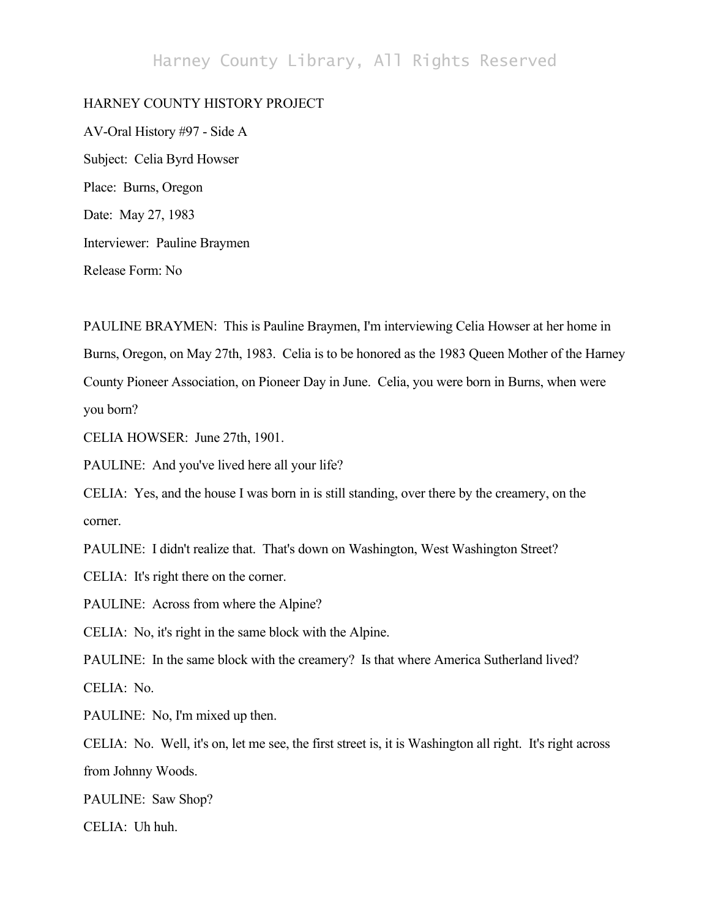## Harney County Library, All Rights Reserved

## HARNEY COUNTY HISTORY PROJECT

AV-Oral History #97 - Side A Subject: Celia Byrd Howser Place: Burns, Oregon Date: May 27, 1983 Interviewer: Pauline Braymen Release Form: No

PAULINE BRAYMEN: This is Pauline Braymen, I'm interviewing Celia Howser at her home in Burns, Oregon, on May 27th, 1983. Celia is to be honored as the 1983 Queen Mother of the Harney County Pioneer Association, on Pioneer Day in June. Celia, you were born in Burns, when were you born?

CELIA HOWSER: June 27th, 1901.

PAULINE: And you've lived here all your life?

CELIA: Yes, and the house I was born in is still standing, over there by the creamery, on the corner.

PAULINE: I didn't realize that. That's down on Washington, West Washington Street?

CELIA: It's right there on the corner.

PAULINE: Across from where the Alpine?

CELIA: No, it's right in the same block with the Alpine.

PAULINE: In the same block with the creamery? Is that where America Sutherland lived? CELIA: No.

PAULINE: No, I'm mixed up then.

CELIA: No. Well, it's on, let me see, the first street is, it is Washington all right. It's right across from Johnny Woods.

PAULINE: Saw Shop?

CELIA: Uh huh.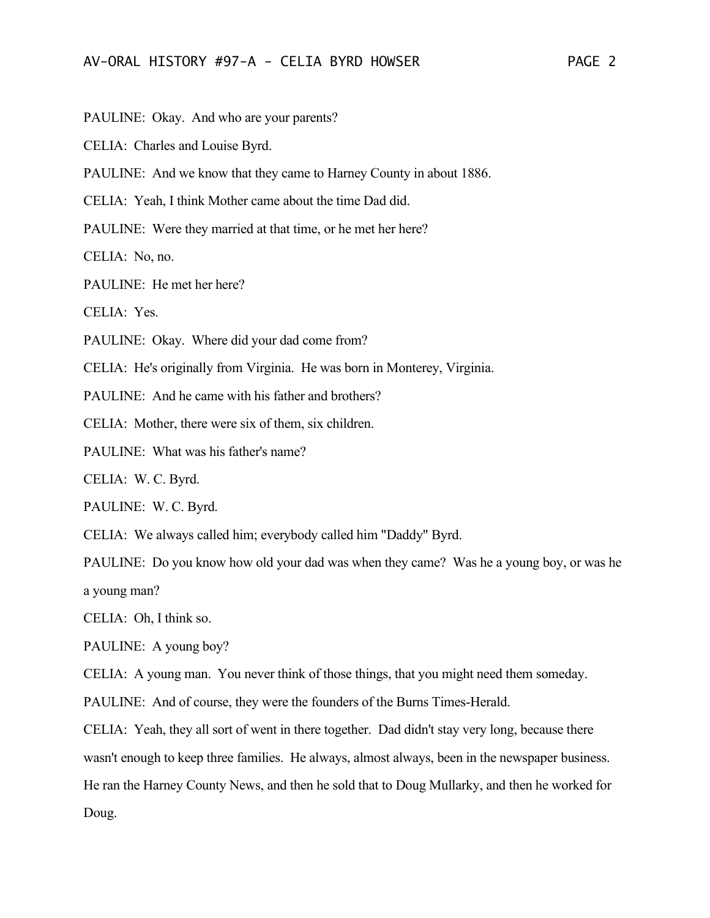PAULINE: Okay. And who are your parents?

CELIA: Charles and Louise Byrd.

PAULINE: And we know that they came to Harney County in about 1886.

CELIA: Yeah, I think Mother came about the time Dad did.

PAULINE: Were they married at that time, or he met her here?

CELIA: No, no.

PAULINE: He met her here?

CELIA: Yes.

PAULINE: Okay. Where did your dad come from?

CELIA: He's originally from Virginia. He was born in Monterey, Virginia.

PAULINE: And he came with his father and brothers?

CELIA: Mother, there were six of them, six children.

PAULINE: What was his father's name?

CELIA: W. C. Byrd.

PAULINE: W. C. Byrd.

CELIA: We always called him; everybody called him "Daddy" Byrd.

PAULINE: Do you know how old your dad was when they came? Was he a young boy, or was he a young man?

CELIA: Oh, I think so.

PAULINE: A young boy?

CELIA: A young man. You never think of those things, that you might need them someday.

PAULINE: And of course, they were the founders of the Burns Times-Herald.

CELIA: Yeah, they all sort of went in there together. Dad didn't stay very long, because there wasn't enough to keep three families. He always, almost always, been in the newspaper business. He ran the Harney County News, and then he sold that to Doug Mullarky, and then he worked for Doug.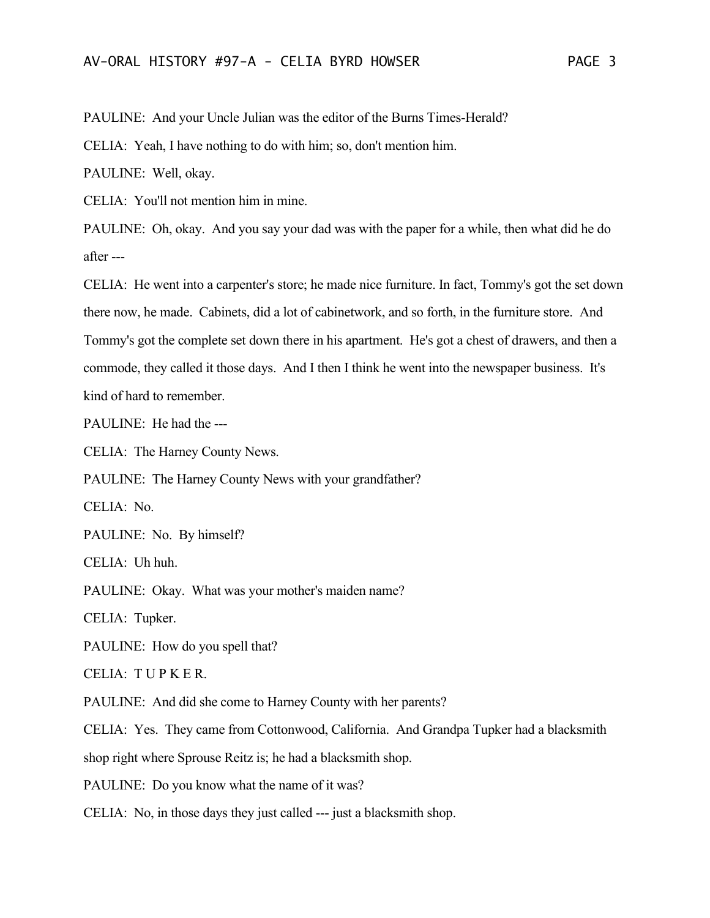PAULINE: And your Uncle Julian was the editor of the Burns Times-Herald?

CELIA: Yeah, I have nothing to do with him; so, don't mention him.

PAULINE: Well, okay.

CELIA: You'll not mention him in mine.

PAULINE: Oh, okay. And you say your dad was with the paper for a while, then what did he do after ---

CELIA: He went into a carpenter's store; he made nice furniture. In fact, Tommy's got the set down there now, he made. Cabinets, did a lot of cabinetwork, and so forth, in the furniture store. And Tommy's got the complete set down there in his apartment. He's got a chest of drawers, and then a commode, they called it those days. And I then I think he went into the newspaper business. It's kind of hard to remember.

PAULINE: He had the ---

CELIA: The Harney County News.

PAULINE: The Harney County News with your grandfather?

CELIA: No.

PAULINE: No. By himself?

CELIA: Uh huh.

PAULINE: Okay. What was your mother's maiden name?

CELIA: Tupker.

PAULINE: How do you spell that?

CELIA: T U P K E R.

PAULINE: And did she come to Harney County with her parents?

CELIA: Yes. They came from Cottonwood, California. And Grandpa Tupker had a blacksmith

shop right where Sprouse Reitz is; he had a blacksmith shop.

PAULINE: Do you know what the name of it was?

CELIA: No, in those days they just called --- just a blacksmith shop.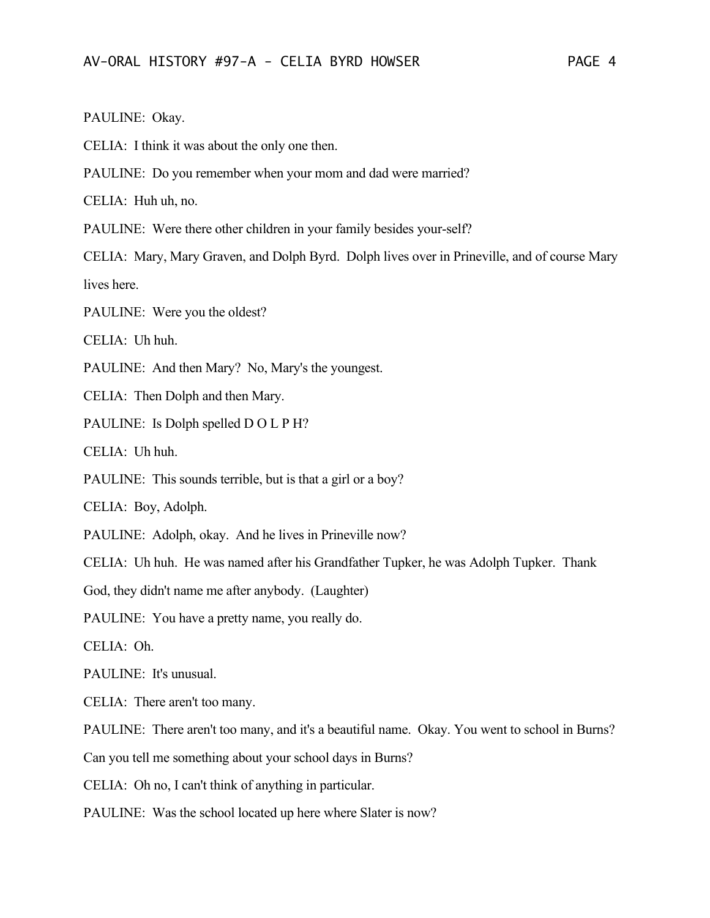## PAULINE: Okay.

CELIA: I think it was about the only one then.

PAULINE: Do you remember when your mom and dad were married?

CELIA: Huh uh, no.

PAULINE: Were there other children in your family besides your-self?

CELIA: Mary, Mary Graven, and Dolph Byrd. Dolph lives over in Prineville, and of course Mary lives here.

PAULINE: Were you the oldest?

CELIA: Uh huh.

PAULINE: And then Mary? No, Mary's the youngest.

CELIA: Then Dolph and then Mary.

PAULINE: Is Dolph spelled D O L P H?

CELIA: Uh huh.

PAULINE: This sounds terrible, but is that a girl or a boy?

CELIA: Boy, Adolph.

PAULINE: Adolph, okay. And he lives in Prineville now?

CELIA: Uh huh. He was named after his Grandfather Tupker, he was Adolph Tupker. Thank

God, they didn't name me after anybody. (Laughter)

PAULINE: You have a pretty name, you really do.

CELIA: Oh.

PAULINE: It's unusual.

CELIA: There aren't too many.

PAULINE: There aren't too many, and it's a beautiful name. Okay. You went to school in Burns?

Can you tell me something about your school days in Burns?

CELIA: Oh no, I can't think of anything in particular.

PAULINE: Was the school located up here where Slater is now?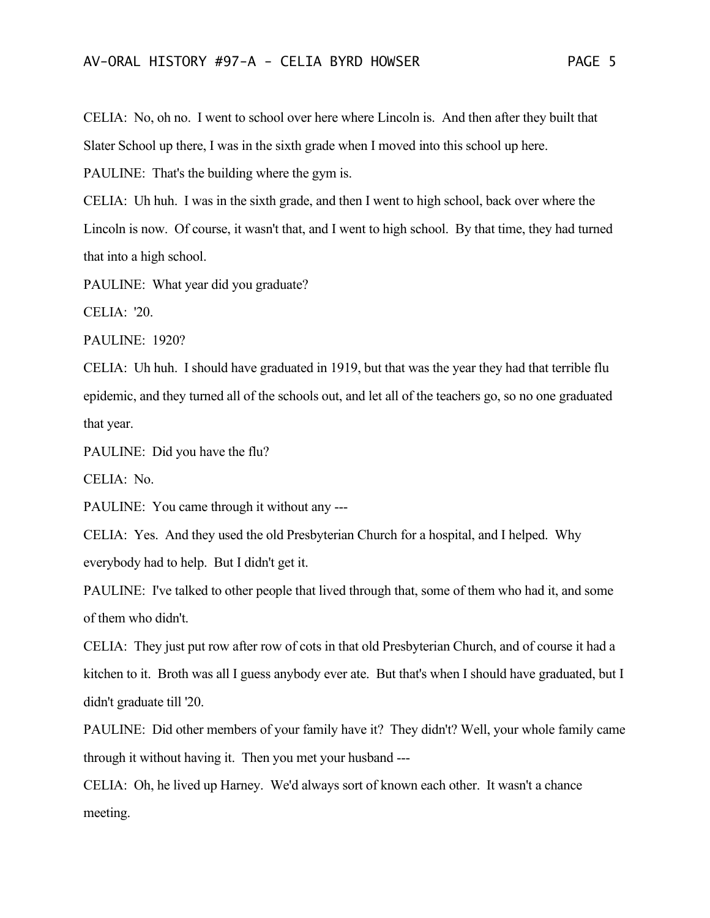CELIA: No, oh no. I went to school over here where Lincoln is. And then after they built that Slater School up there, I was in the sixth grade when I moved into this school up here.

PAULINE: That's the building where the gym is.

CELIA: Uh huh. I was in the sixth grade, and then I went to high school, back over where the Lincoln is now. Of course, it wasn't that, and I went to high school. By that time, they had turned that into a high school.

PAULINE: What year did you graduate?

CELIA: '20.

PAULINE: 1920?

CELIA: Uh huh. I should have graduated in 1919, but that was the year they had that terrible flu epidemic, and they turned all of the schools out, and let all of the teachers go, so no one graduated that year.

PAULINE: Did you have the flu?

CELIA: No.

PAULINE: You came through it without any ---

CELIA: Yes. And they used the old Presbyterian Church for a hospital, and I helped. Why everybody had to help. But I didn't get it.

PAULINE: I've talked to other people that lived through that, some of them who had it, and some of them who didn't.

CELIA: They just put row after row of cots in that old Presbyterian Church, and of course it had a kitchen to it. Broth was all I guess anybody ever ate. But that's when I should have graduated, but I didn't graduate till '20.

PAULINE: Did other members of your family have it? They didn't? Well, your whole family came through it without having it. Then you met your husband ---

CELIA: Oh, he lived up Harney. We'd always sort of known each other. It wasn't a chance meeting.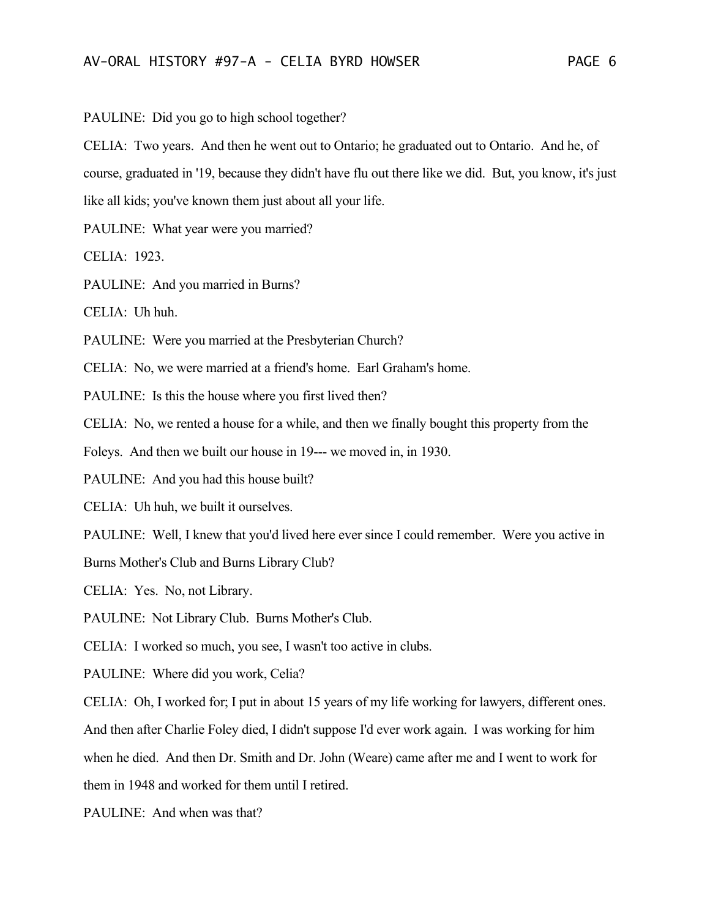PAULINE: Did you go to high school together?

CELIA: Two years. And then he went out to Ontario; he graduated out to Ontario. And he, of course, graduated in '19, because they didn't have flu out there like we did. But, you know, it's just like all kids; you've known them just about all your life.

PAULINE: What year were you married?

CELIA: 1923.

PAULINE: And you married in Burns?

CELIA: Uh huh.

PAULINE: Were you married at the Presbyterian Church?

CELIA: No, we were married at a friend's home. Earl Graham's home.

PAULINE: Is this the house where you first lived then?

CELIA: No, we rented a house for a while, and then we finally bought this property from the

Foleys. And then we built our house in 19--- we moved in, in 1930.

PAULINE: And you had this house built?

CELIA: Uh huh, we built it ourselves.

PAULINE: Well, I knew that you'd lived here ever since I could remember. Were you active in

Burns Mother's Club and Burns Library Club?

CELIA: Yes. No, not Library.

PAULINE: Not Library Club. Burns Mother's Club.

CELIA: I worked so much, you see, I wasn't too active in clubs.

PAULINE: Where did you work, Celia?

CELIA: Oh, I worked for; I put in about 15 years of my life working for lawyers, different ones.

And then after Charlie Foley died, I didn't suppose I'd ever work again. I was working for him

when he died. And then Dr. Smith and Dr. John (Weare) came after me and I went to work for

them in 1948 and worked for them until I retired.

PAULINE: And when was that?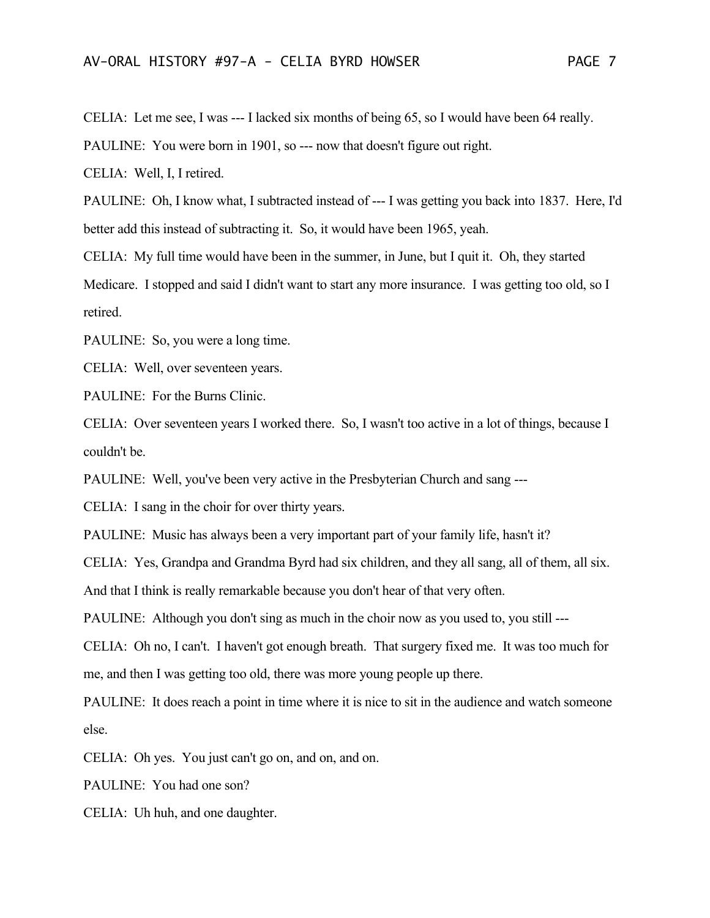CELIA: Let me see, I was --- I lacked six months of being 65, so I would have been 64 really.

PAULINE: You were born in 1901, so --- now that doesn't figure out right.

CELIA: Well, I, I retired.

PAULINE: Oh, I know what, I subtracted instead of --- I was getting you back into 1837. Here, I'd better add this instead of subtracting it. So, it would have been 1965, yeah.

CELIA: My full time would have been in the summer, in June, but I quit it. Oh, they started Medicare. I stopped and said I didn't want to start any more insurance. I was getting too old, so I

retired.

PAULINE: So, you were a long time.

CELIA: Well, over seventeen years.

PAULINE: For the Burns Clinic.

CELIA: Over seventeen years I worked there. So, I wasn't too active in a lot of things, because I couldn't be.

PAULINE: Well, you've been very active in the Presbyterian Church and sang ---

CELIA: I sang in the choir for over thirty years.

PAULINE: Music has always been a very important part of your family life, hasn't it?

CELIA: Yes, Grandpa and Grandma Byrd had six children, and they all sang, all of them, all six.

And that I think is really remarkable because you don't hear of that very often.

PAULINE: Although you don't sing as much in the choir now as you used to, you still ---

CELIA: Oh no, I can't. I haven't got enough breath. That surgery fixed me. It was too much for me, and then I was getting too old, there was more young people up there.

PAULINE: It does reach a point in time where it is nice to sit in the audience and watch someone else.

CELIA: Oh yes. You just can't go on, and on, and on.

PAULINE: You had one son?

CELIA: Uh huh, and one daughter.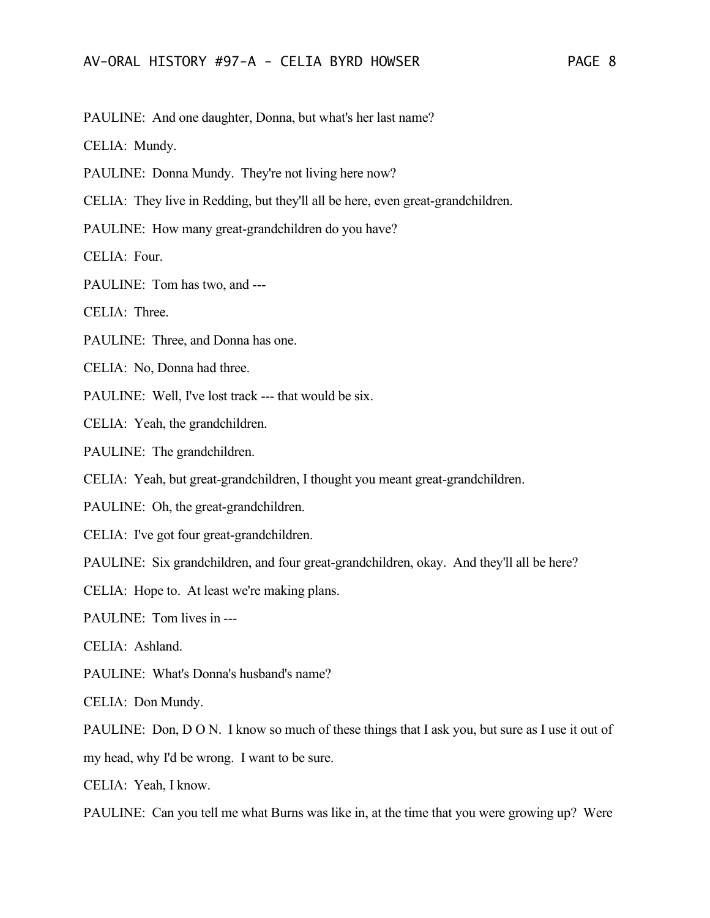PAULINE: And one daughter, Donna, but what's her last name?

CELIA: Mundy.

PAULINE: Donna Mundy. They're not living here now?

CELIA: They live in Redding, but they'll all be here, even great-grandchildren.

PAULINE: How many great-grandchildren do you have?

CELIA: Four.

PAULINE: Tom has two, and ---

CELIA: Three.

PAULINE: Three, and Donna has one.

CELIA: No, Donna had three.

PAULINE: Well, I've lost track --- that would be six.

CELIA: Yeah, the grandchildren.

PAULINE: The grandchildren.

CELIA: Yeah, but great-grandchildren, I thought you meant great-grandchildren.

PAULINE: Oh, the great-grandchildren.

CELIA: I've got four great-grandchildren.

PAULINE: Six grandchildren, and four great-grandchildren, okay. And they'll all be here?

CELIA: Hope to. At least we're making plans.

PAULINE: Tom lives in ---

CELIA: Ashland.

PAULINE: What's Donna's husband's name?

CELIA: Don Mundy.

PAULINE: Don, D O N. I know so much of these things that I ask you, but sure as I use it out of

my head, why I'd be wrong. I want to be sure.

CELIA: Yeah, I know.

PAULINE: Can you tell me what Burns was like in, at the time that you were growing up? Were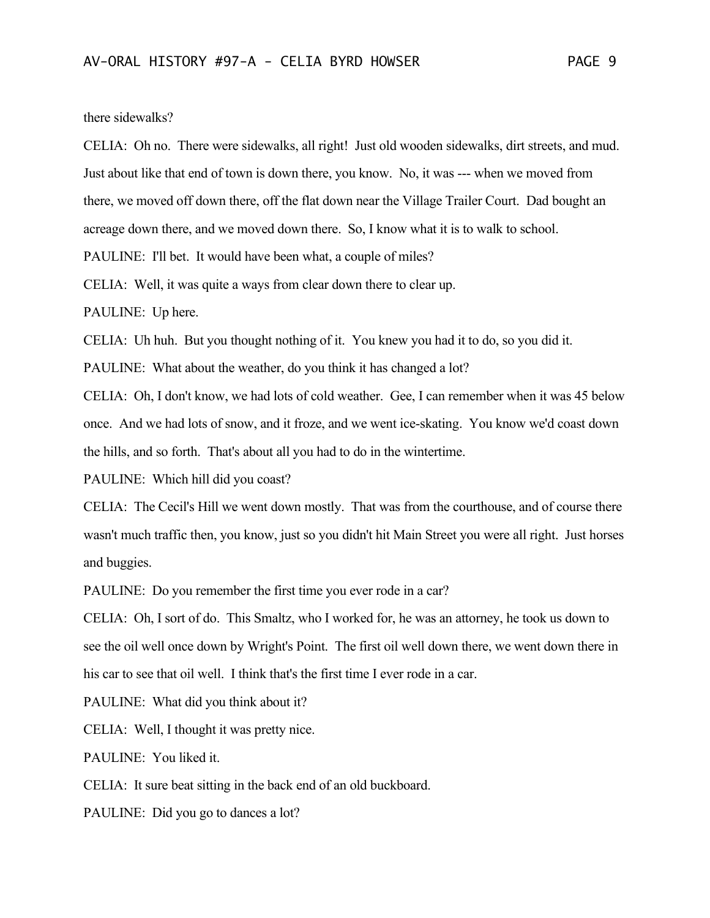there sidewalks?

CELIA: Oh no. There were sidewalks, all right! Just old wooden sidewalks, dirt streets, and mud. Just about like that end of town is down there, you know. No, it was --- when we moved from there, we moved off down there, off the flat down near the Village Trailer Court. Dad bought an

acreage down there, and we moved down there. So, I know what it is to walk to school.

PAULINE: I'll bet. It would have been what, a couple of miles?

CELIA: Well, it was quite a ways from clear down there to clear up.

PAULINE: Up here.

CELIA: Uh huh. But you thought nothing of it. You knew you had it to do, so you did it.

PAULINE: What about the weather, do you think it has changed a lot?

CELIA: Oh, I don't know, we had lots of cold weather. Gee, I can remember when it was 45 below once. And we had lots of snow, and it froze, and we went ice-skating. You know we'd coast down the hills, and so forth. That's about all you had to do in the wintertime.

PAULINE: Which hill did you coast?

CELIA: The Cecil's Hill we went down mostly. That was from the courthouse, and of course there wasn't much traffic then, you know, just so you didn't hit Main Street you were all right. Just horses and buggies.

PAULINE: Do you remember the first time you ever rode in a car?

CELIA: Oh, I sort of do. This Smaltz, who I worked for, he was an attorney, he took us down to see the oil well once down by Wright's Point. The first oil well down there, we went down there in his car to see that oil well. I think that's the first time I ever rode in a car.

PAULINE: What did you think about it?

CELIA: Well, I thought it was pretty nice.

PAULINE: You liked it.

CELIA: It sure beat sitting in the back end of an old buckboard.

PAULINE: Did you go to dances a lot?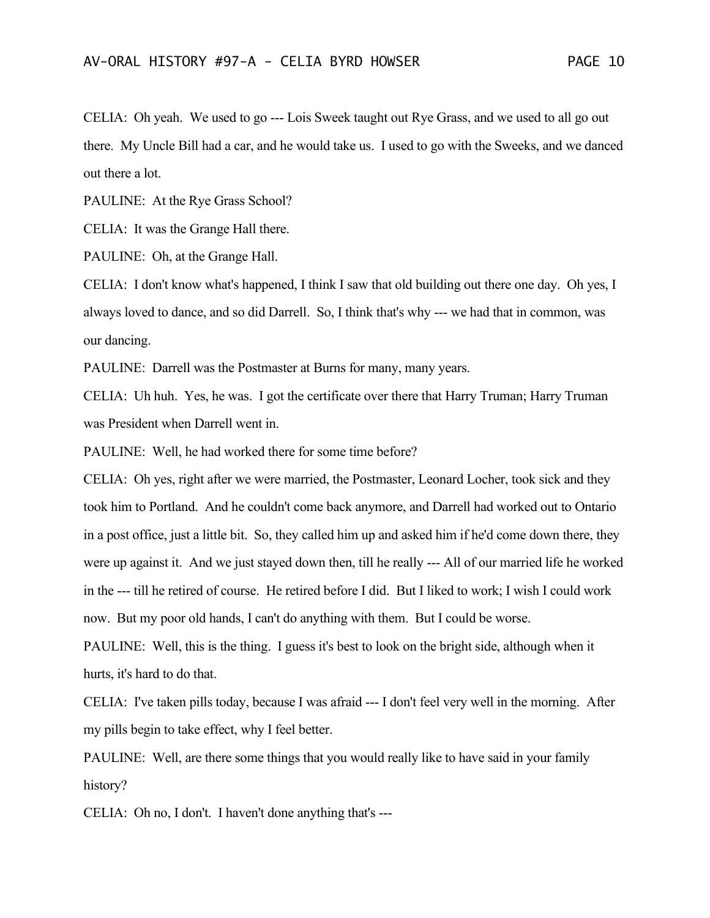CELIA: Oh yeah. We used to go --- Lois Sweek taught out Rye Grass, and we used to all go out there. My Uncle Bill had a car, and he would take us. I used to go with the Sweeks, and we danced out there a lot.

PAULINE: At the Rye Grass School?

CELIA: It was the Grange Hall there.

PAULINE: Oh, at the Grange Hall.

CELIA: I don't know what's happened, I think I saw that old building out there one day. Oh yes, I always loved to dance, and so did Darrell. So, I think that's why --- we had that in common, was our dancing.

PAULINE: Darrell was the Postmaster at Burns for many, many years.

CELIA: Uh huh. Yes, he was. I got the certificate over there that Harry Truman; Harry Truman was President when Darrell went in.

PAULINE: Well, he had worked there for some time before?

CELIA: Oh yes, right after we were married, the Postmaster, Leonard Locher, took sick and they took him to Portland. And he couldn't come back anymore, and Darrell had worked out to Ontario in a post office, just a little bit. So, they called him up and asked him if he'd come down there, they were up against it. And we just stayed down then, till he really --- All of our married life he worked in the --- till he retired of course. He retired before I did. But I liked to work; I wish I could work now. But my poor old hands, I can't do anything with them. But I could be worse.

PAULINE: Well, this is the thing. I guess it's best to look on the bright side, although when it hurts, it's hard to do that.

CELIA: I've taken pills today, because I was afraid --- I don't feel very well in the morning. After my pills begin to take effect, why I feel better.

PAULINE: Well, are there some things that you would really like to have said in your family history?

CELIA: Oh no, I don't. I haven't done anything that's ---